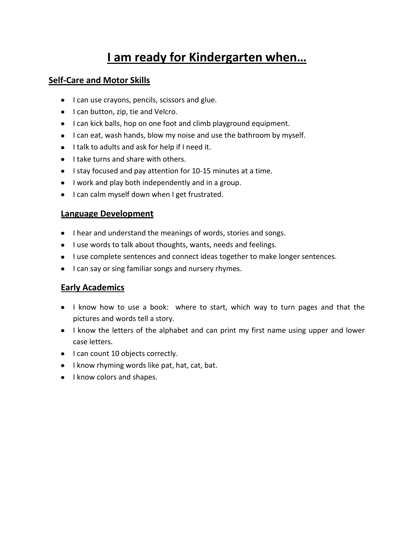## **I am ready for Kindergarten when…**

### **Self-Care and Motor Skills**

- I can use crayons, pencils, scissors and glue.
- I can button, zip, tie and Velcro.
- I can kick balls, hop on one foot and climb playground equipment.
- I can eat, wash hands, blow my noise and use the bathroom by myself.
- I talk to adults and ask for help if I need it.
- $\bullet$  I take turns and share with others.
- I stay focused and pay attention for 10-15 minutes at a time.
- I work and play both independently and in a group.
- I can calm myself down when I get frustrated.

#### **Language Development**

- I hear and understand the meanings of words, stories and songs.
- $\bullet$  I use words to talk about thoughts, wants, needs and feelings.
- I use complete sentences and connect ideas together to make longer sentences.
- I can say or sing familiar songs and nursery rhymes.

#### **Early Academics**

- I know how to use a book: where to start, which way to turn pages and that the pictures and words tell a story.
- I know the letters of the alphabet and can print my first name using upper and lower case letters.
- I can count 10 objects correctly.
- $\bullet$  I know rhyming words like pat, hat, cat, bat.
- I know colors and shapes.